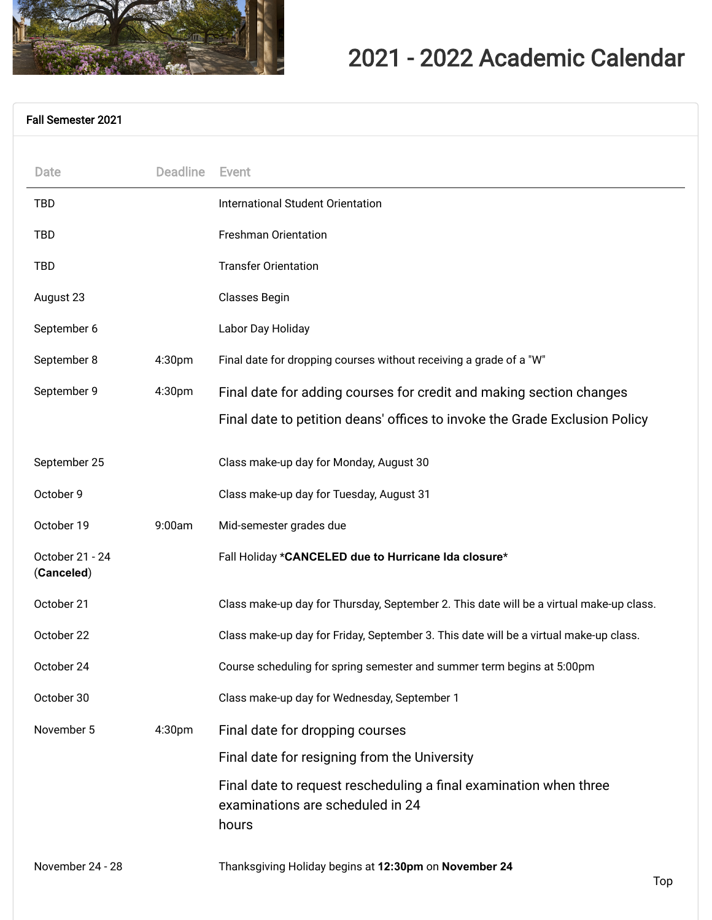

## 2021 - 2022 Academic Calendar

## [Fall Semester 2021](#page-0-0)

<span id="page-0-0"></span>

| Date                          | <b>Deadline</b>    | Event                                                                                                          |
|-------------------------------|--------------------|----------------------------------------------------------------------------------------------------------------|
| <b>TBD</b>                    |                    | <b>International Student Orientation</b>                                                                       |
| <b>TBD</b>                    |                    | <b>Freshman Orientation</b>                                                                                    |
| <b>TBD</b>                    |                    | <b>Transfer Orientation</b>                                                                                    |
| August 23                     |                    | <b>Classes Begin</b>                                                                                           |
| September 6                   |                    | Labor Day Holiday                                                                                              |
| September 8                   | 4:30pm             | Final date for dropping courses without receiving a grade of a "W"                                             |
| September 9                   | 4:30pm             | Final date for adding courses for credit and making section changes                                            |
|                               |                    | Final date to petition deans' offices to invoke the Grade Exclusion Policy                                     |
| September 25                  |                    | Class make-up day for Monday, August 30                                                                        |
| October 9                     |                    | Class make-up day for Tuesday, August 31                                                                       |
| October 19                    | 9:00am             | Mid-semester grades due                                                                                        |
| October 21 - 24<br>(Canceled) |                    | Fall Holiday *CANCELED due to Hurricane Ida closure*                                                           |
| October 21                    |                    | Class make-up day for Thursday, September 2. This date will be a virtual make-up class.                        |
| October 22                    |                    | Class make-up day for Friday, September 3. This date will be a virtual make-up class.                          |
| October 24                    |                    | Course scheduling for spring semester and summer term begins at 5:00pm                                         |
| October 30                    |                    | Class make-up day for Wednesday, September 1                                                                   |
| November 5                    | 4:30 <sub>pm</sub> | Final date for dropping courses                                                                                |
|                               |                    | Final date for resigning from the University                                                                   |
|                               |                    | Final date to request rescheduling a final examination when three<br>examinations are scheduled in 24<br>hours |
|                               |                    |                                                                                                                |

November 24 - 28 Thanksgiving Holiday begins at **12:30pm** on **November 24**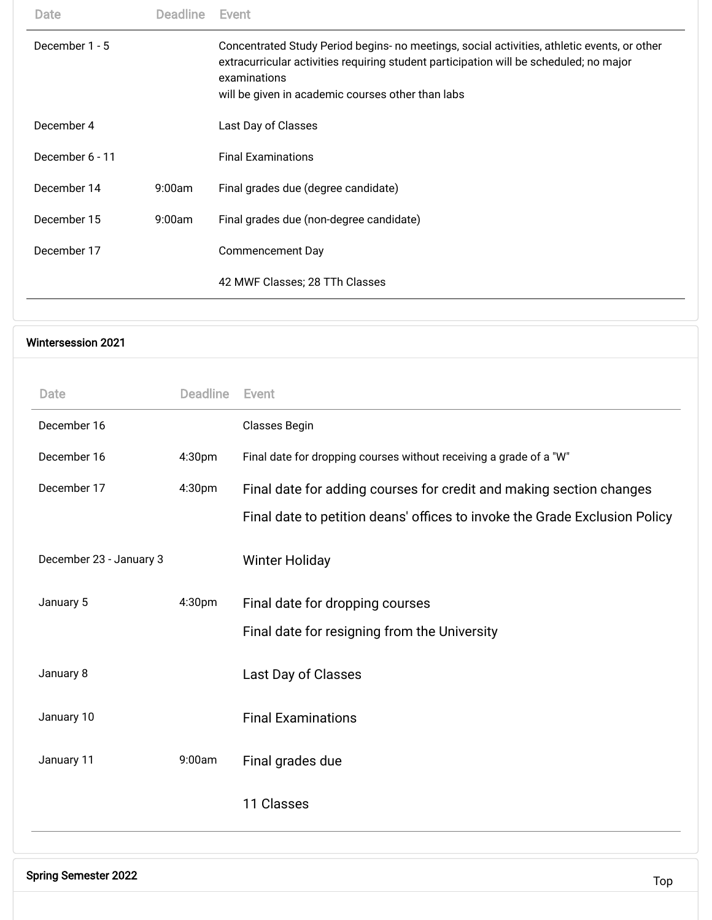| Date                      | <b>Deadline</b> | Event                                                                                                                                                                                                                                                      |
|---------------------------|-----------------|------------------------------------------------------------------------------------------------------------------------------------------------------------------------------------------------------------------------------------------------------------|
| December 1 - 5            |                 | Concentrated Study Period begins- no meetings, social activities, athletic events, or other<br>extracurricular activities requiring student participation will be scheduled; no major<br>examinations<br>will be given in academic courses other than labs |
| December 4                |                 | Last Day of Classes                                                                                                                                                                                                                                        |
| December 6 - 11           |                 | <b>Final Examinations</b>                                                                                                                                                                                                                                  |
| December 14               | 9:00am          | Final grades due (degree candidate)                                                                                                                                                                                                                        |
| December 15               | 9:00am          | Final grades due (non-degree candidate)                                                                                                                                                                                                                    |
| December 17               |                 | <b>Commencement Day</b>                                                                                                                                                                                                                                    |
|                           |                 | 42 MWF Classes; 28 TTh Classes                                                                                                                                                                                                                             |
|                           |                 |                                                                                                                                                                                                                                                            |
| <b>Wintersession 2021</b> |                 |                                                                                                                                                                                                                                                            |
| Date                      | <b>Deadline</b> | Event                                                                                                                                                                                                                                                      |

December 16 4:30pm Final date for dropping courses without receiving a grade of a "W"

December 17 4:30pm Final date for adding courses for credit and making section changes

Final date for resigning from the University

Final date to petition deans' offices to invoke the Grade Exclusion Policy

<span id="page-1-0"></span>December 16 Classes Begin

December 23 - January 3 Winter Holiday

January 8 **Last Day of Classes** 

January 10 **Final Examinations** 

<span id="page-1-1"></span>January 11 9:00am Final grades due

January 5 4:30pm Final date for dropping courses

11 Classes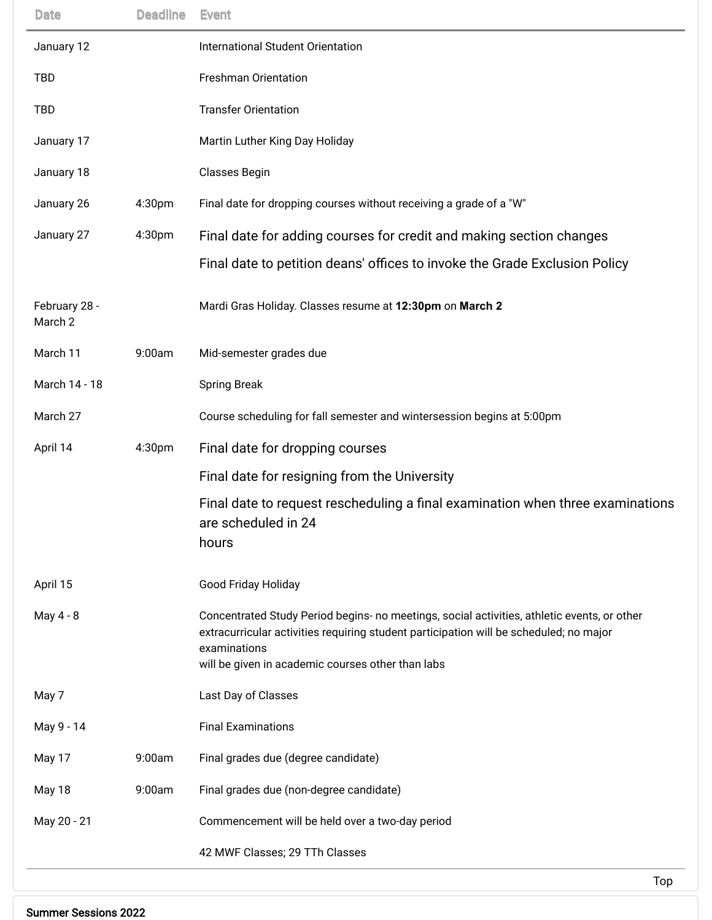| <b>Date</b>              | <b>Deadline</b> | <b>Event</b>                                                                                                                                                                                                                                               |
|--------------------------|-----------------|------------------------------------------------------------------------------------------------------------------------------------------------------------------------------------------------------------------------------------------------------------|
| January 12               |                 | International Student Orientation                                                                                                                                                                                                                          |
| <b>TBD</b>               |                 | <b>Freshman Orientation</b>                                                                                                                                                                                                                                |
| <b>TBD</b>               |                 | <b>Transfer Orientation</b>                                                                                                                                                                                                                                |
| January 17               |                 | Martin Luther King Day Holiday                                                                                                                                                                                                                             |
| January 18               |                 | <b>Classes Begin</b>                                                                                                                                                                                                                                       |
| January 26               | 4:30pm          | Final date for dropping courses without receiving a grade of a "W"                                                                                                                                                                                         |
| January 27               | 4:30pm          | Final date for adding courses for credit and making section changes                                                                                                                                                                                        |
|                          |                 | Final date to petition deans' offices to invoke the Grade Exclusion Policy                                                                                                                                                                                 |
| February 28 -<br>March 2 |                 | Mardi Gras Holiday. Classes resume at 12:30pm on March 2                                                                                                                                                                                                   |
| March 11                 | 9:00am          | Mid-semester grades due                                                                                                                                                                                                                                    |
| March 14 - 18            |                 | <b>Spring Break</b>                                                                                                                                                                                                                                        |
| March 27                 |                 | Course scheduling for fall semester and wintersession begins at 5:00pm                                                                                                                                                                                     |
| April 14                 | 4:30pm          | Final date for dropping courses                                                                                                                                                                                                                            |
|                          |                 | Final date for resigning from the University                                                                                                                                                                                                               |
|                          |                 | Final date to request rescheduling a final examination when three examinations<br>are scheduled in 24<br>hours                                                                                                                                             |
| April 15                 |                 | Good Friday Holiday                                                                                                                                                                                                                                        |
| May 4 - 8                |                 | Concentrated Study Period begins- no meetings, social activities, athletic events, or other<br>extracurricular activities requiring student participation will be scheduled; no major<br>examinations<br>will be given in academic courses other than labs |
| May 7                    |                 | Last Day of Classes                                                                                                                                                                                                                                        |
| May 9 - 14               |                 | <b>Final Examinations</b>                                                                                                                                                                                                                                  |
| May 17                   | 9:00am          | Final grades due (degree candidate)                                                                                                                                                                                                                        |
| May 18                   | 9:00am          | Final grades due (non-degree candidate)                                                                                                                                                                                                                    |
| May 20 - 21              |                 | Commencement will be held over a two-day period                                                                                                                                                                                                            |
|                          |                 | 42 MWF Classes; 29 TTh Classes                                                                                                                                                                                                                             |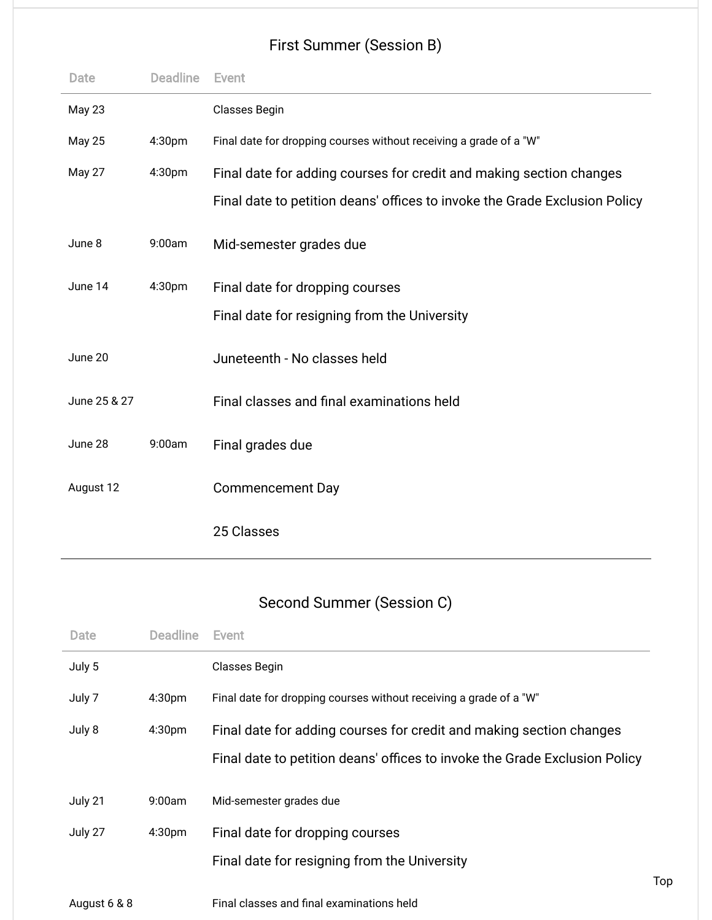## First Summer (Session B)

<span id="page-3-0"></span>

| Date          | <b>Deadline</b> | Event                                                                      |
|---------------|-----------------|----------------------------------------------------------------------------|
| <b>May 23</b> |                 | Classes Begin                                                              |
| <b>May 25</b> | 4:30pm          | Final date for dropping courses without receiving a grade of a "W"         |
| May 27        | 4:30pm          | Final date for adding courses for credit and making section changes        |
|               |                 | Final date to petition deans' offices to invoke the Grade Exclusion Policy |
| June 8        | 9:00am          | Mid-semester grades due                                                    |
| June 14       | 4:30pm          | Final date for dropping courses                                            |
|               |                 | Final date for resigning from the University                               |
| June 20       |                 | Juneteenth - No classes held                                               |
| June 25 & 27  |                 | Final classes and final examinations held                                  |
| June 28       | 9:00am          | Final grades due                                                           |
| August 12     |                 | <b>Commencement Day</b>                                                    |
|               |                 | 25 Classes                                                                 |

## Second Summer (Session C)

| July 5<br>Classes Begin<br>Final date for dropping courses without receiving a grade of a "W"<br>July 7<br>4:30 <sub>pm</sub><br>July 8<br>4:30 <sub>pm</sub><br>Final date for adding courses for credit and making section changes<br>Final date to petition deans' offices to invoke the Grade Exclusion Policy |
|--------------------------------------------------------------------------------------------------------------------------------------------------------------------------------------------------------------------------------------------------------------------------------------------------------------------|
|                                                                                                                                                                                                                                                                                                                    |
|                                                                                                                                                                                                                                                                                                                    |
|                                                                                                                                                                                                                                                                                                                    |
|                                                                                                                                                                                                                                                                                                                    |
| July 21<br>9:00am<br>Mid-semester grades due                                                                                                                                                                                                                                                                       |
| July 27<br>4:30 <sub>pm</sub><br>Final date for dropping courses                                                                                                                                                                                                                                                   |
| Final date for resigning from the University                                                                                                                                                                                                                                                                       |
| Top<br>Final classes and final examinations held<br>August 6 & 8                                                                                                                                                                                                                                                   |